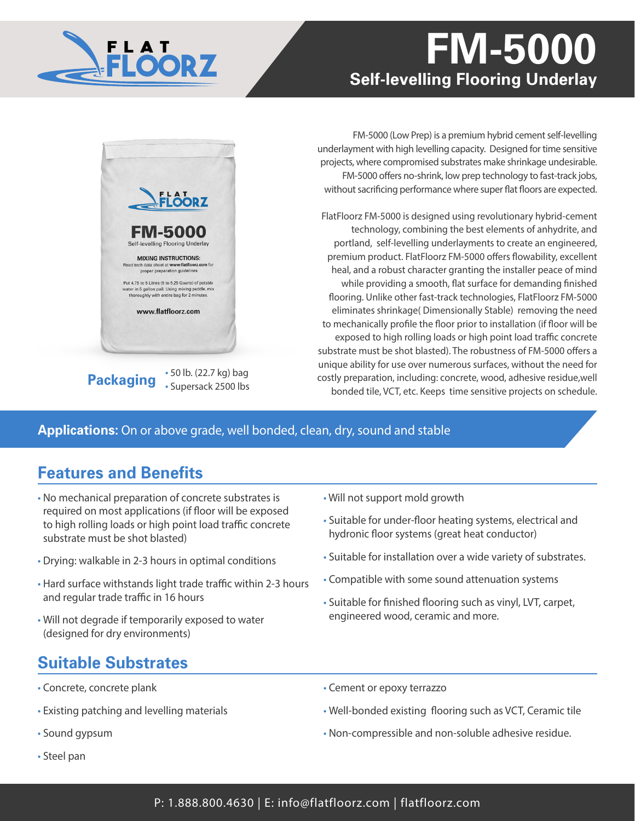# **floorz FM-5000 Self-levelling Flooring Underlay**





**Packaging** • 50 lb. (22.7 kg) bag • Supersack 2500 lbs

FM-5000 (Low Prep) is a premium hybrid cement self-levelling underlayment with high levelling capacity. Designed for time sensitive projects, where compromised substrates make shrinkage undesirable. FM-5000 offers no-shrink, low prep technology to fast-track jobs, without sacrificing performance where super flat floors are expected.

FlatFloorz FM-5000 is designed using revolutionary hybrid-cement technology, combining the best elements of anhydrite, and portland, self-levelling underlayments to create an engineered, premium product. FlatFloorz FM-5000 offers flowability, excellent heal, and a robust character granting the installer peace of mind while providing a smooth, flat surface for demanding finished flooring. Unlike other fast-track technologies, FlatFloorz FM-5000 eliminates shrinkage( Dimensionally Stable) removing the need to mechanically profile the floor prior to installation (if floor will be exposed to high rolling loads or high point load traffic concrete substrate must be shot blasted). The robustness of FM-5000 offers a unique ability for use over numerous surfaces, without the need for costly preparation, including: concrete, wood, adhesive residue,well bonded tile, VCT, etc. Keeps time sensitive projects on schedule.

### **Applications:** On or above grade, well bonded, clean, dry, sound and stable

## **Features and Benefits**

- No mechanical preparation of concrete substrates is required on most applications (if floor will be exposed to high rolling loads or high point load traffic concrete substrate must be shot blasted)
- Drying: walkable in 2-3 hours in optimal conditions
- Hard surface withstands light trade traffic within 2-3 hours and regular trade traffic in 16 hours
- Will not degrade if temporarily exposed to water (designed for dry environments)

## **Suitable Substrates**

- Concrete, concrete plank
- Existing patching and levelling materials
- Sound gypsum
- Steel pan
- Will not support mold growth
- Suitable for under-floor heating systems, electrical and hydronic floor systems (great heat conductor)
- Suitable for installation over a wide variety of substrates.
- Compatible with some sound attenuation systems
- Suitable for finished flooring such as vinyl, LVT, carpet, engineered wood, ceramic and more.
- Cement or epoxy terrazzo
- Well-bonded existing flooring such as VCT, Ceramic tile
- Non-compressible and non-soluble adhesive residue.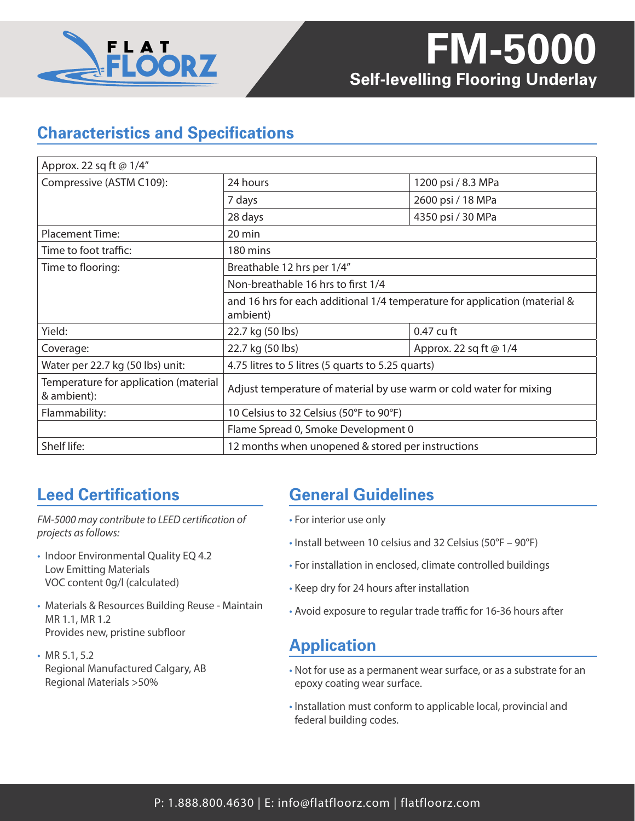

## **Characteristics and Specifications**

| Approx. 22 sq ft @ 1/4"                              |                                                                                        |                        |
|------------------------------------------------------|----------------------------------------------------------------------------------------|------------------------|
| Compressive (ASTM C109):                             | 24 hours                                                                               | 1200 psi / 8.3 MPa     |
|                                                      | 7 days                                                                                 | 2600 psi / 18 MPa      |
|                                                      | 28 days                                                                                | 4350 psi / 30 MPa      |
| <b>Placement Time:</b>                               | 20 min                                                                                 |                        |
| Time to foot traffic:                                | 180 mins                                                                               |                        |
| Time to flooring:                                    | Breathable 12 hrs per 1/4"                                                             |                        |
|                                                      | Non-breathable 16 hrs to first 1/4                                                     |                        |
|                                                      | and 16 hrs for each additional 1/4 temperature for application (material &<br>ambient) |                        |
| Yield:                                               | 22.7 kg (50 lbs)                                                                       | 0.47 cu ft             |
| Coverage:                                            | 22.7 kg (50 lbs)                                                                       | Approx. 22 sq ft @ 1/4 |
| Water per 22.7 kg (50 lbs) unit:                     | 4.75 litres to 5 litres (5 quarts to 5.25 quarts)                                      |                        |
| Temperature for application (material<br>& ambient): | Adjust temperature of material by use warm or cold water for mixing                    |                        |
| Flammability:                                        | 10 Celsius to 32 Celsius (50°F to 90°F)                                                |                        |
|                                                      | Flame Spread 0, Smoke Development 0                                                    |                        |
| Shelf life:                                          | 12 months when unopened & stored per instructions                                      |                        |

## **Leed Certifications**

*FM-5000 may contribute to LEED certification of projects as follows:*

- Indoor Environmental Quality EQ 4.2 Low Emitting Materials VOC content 0g/l (calculated)
- Materials & Resources Building Reuse Maintain MR 1.1, MR 1.2 Provides new, pristine subfloor
- MR 5.1, 5.2 Regional Manufactured Calgary, AB Regional Materials >50%

## **General Guidelines**

- For interior use only
- Install between 10 celsius and 32 Celsius (50°F 90°F)
- For installation in enclosed, climate controlled buildings
- Keep dry for 24 hours after installation
- Avoid exposure to regular trade traffic for 16-36 hours after

## **Application**

- Not for use as a permanent wear surface, or as a substrate for an epoxy coating wear surface.
- Installation must conform to applicable local, provincial and federal building codes.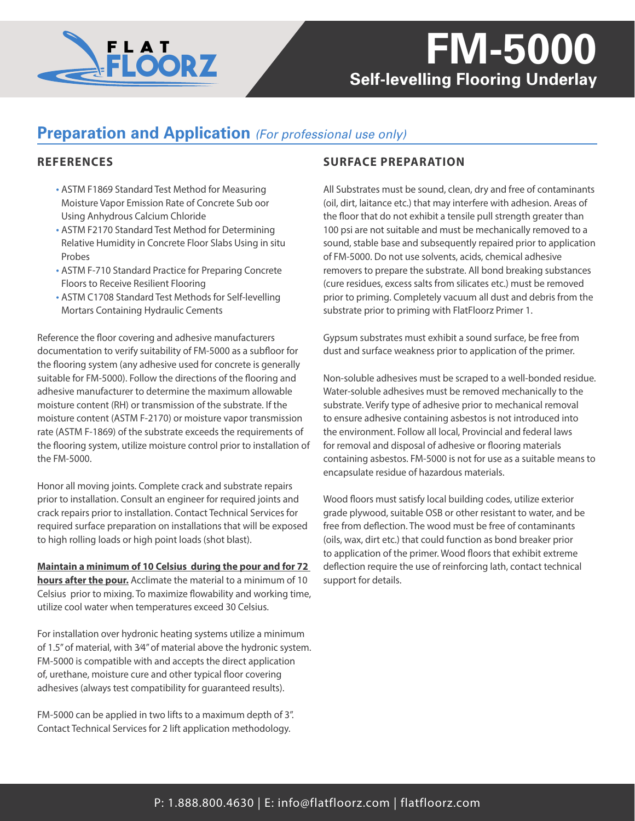

## *Self-levelling Flooring Underlay* **FM-5000**

### **Preparation and Application** *(For professional use only)*

#### **REFERENCES**

- ASTM F1869 Standard Test Method for Measuring Moisture Vapor Emission Rate of Concrete Sub oor Using Anhydrous Calcium Chloride
- ASTM F2170 Standard Test Method for Determining Relative Humidity in Concrete Floor Slabs Using in situ Probes
- ASTM F-710 Standard Practice for Preparing Concrete Floors to Receive Resilient Flooring
- ASTM C1708 Standard Test Methods for Self-levelling Mortars Containing Hydraulic Cements

Reference the floor covering and adhesive manufacturers documentation to verify suitability of FM-5000 as a subfloor for the flooring system (any adhesive used for concrete is generally suitable for FM-5000). Follow the directions of the flooring and adhesive manufacturer to determine the maximum allowable moisture content (RH) or transmission of the substrate. If the moisture content (ASTM F-2170) or moisture vapor transmission rate (ASTM F-1869) of the substrate exceeds the requirements of the flooring system, utilize moisture control prior to installation of the FM-5000.

Honor all moving joints. Complete crack and substrate repairs prior to installation. Consult an engineer for required joints and crack repairs prior to installation. Contact Technical Services for required surface preparation on installations that will be exposed to high rolling loads or high point loads (shot blast).

**Maintain a minimum of 10 Celsius during the pour and for 72 hours after the pour.** Acclimate the material to a minimum of 10 Celsius prior to mixing. To maximize flowability and working time, utilize cool water when temperatures exceed 30 Celsius.

For installation over hydronic heating systems utilize a minimum of 1.5" of material, with 3⁄4" of material above the hydronic system. FM-5000 is compatible with and accepts the direct application of, urethane, moisture cure and other typical floor covering adhesives (always test compatibility for guaranteed results).

FM-5000 can be applied in two lifts to a maximum depth of 3". Contact Technical Services for 2 lift application methodology.

### **SURFACE PREPARATION**

All Substrates must be sound, clean, dry and free of contaminants (oil, dirt, laitance etc.) that may interfere with adhesion. Areas of the floor that do not exhibit a tensile pull strength greater than 100 psi are not suitable and must be mechanically removed to a sound, stable base and subsequently repaired prior to application of FM-5000. Do not use solvents, acids, chemical adhesive removers to prepare the substrate. All bond breaking substances (cure residues, excess salts from silicates etc.) must be removed prior to priming. Completely vacuum all dust and debris from the substrate prior to priming with FlatFloorz Primer 1.

Gypsum substrates must exhibit a sound surface, be free from dust and surface weakness prior to application of the primer.

Non-soluble adhesives must be scraped to a well-bonded residue. Water-soluble adhesives must be removed mechanically to the substrate. Verify type of adhesive prior to mechanical removal to ensure adhesive containing asbestos is not introduced into the environment. Follow all local, Provincial and federal laws for removal and disposal of adhesive or flooring materials containing asbestos. FM-5000 is not for use as a suitable means to encapsulate residue of hazardous materials.

Wood floors must satisfy local building codes, utilize exterior grade plywood, suitable OSB or other resistant to water, and be free from deflection. The wood must be free of contaminants (oils, wax, dirt etc.) that could function as bond breaker prior to application of the primer. Wood floors that exhibit extreme deflection require the use of reinforcing lath, contact technical support for details.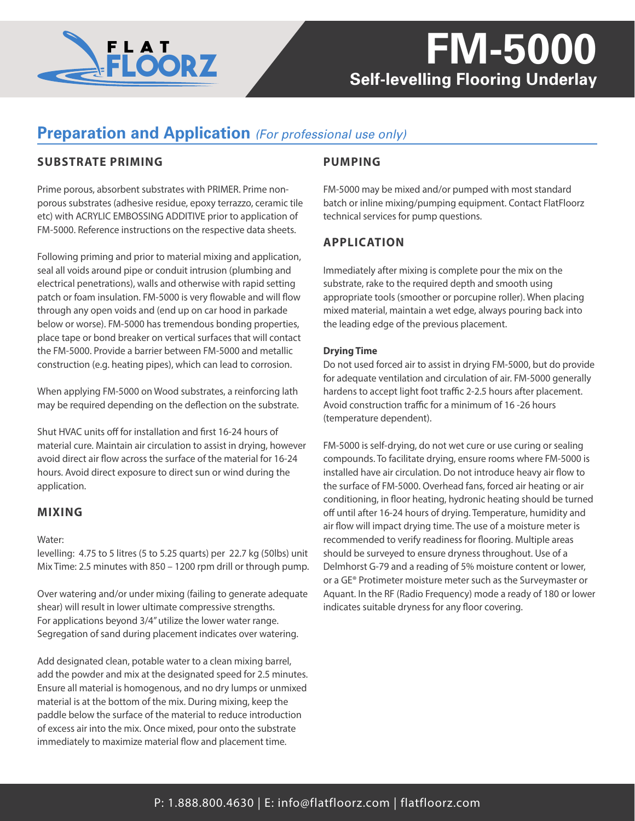

# *Self-levelling Flooring Underlay* **FM-5000**

## **Preparation and Application** *(For professional use only)*

#### **SUBSTRATE PRIMING**

Prime porous, absorbent substrates with PRIMER. Prime nonporous substrates (adhesive residue, epoxy terrazzo, ceramic tile etc) with ACRYLIC EMBOSSING ADDITIVE prior to application of FM-5000. Reference instructions on the respective data sheets.

Following priming and prior to material mixing and application, seal all voids around pipe or conduit intrusion (plumbing and electrical penetrations), walls and otherwise with rapid setting patch or foam insulation. FM-5000 is very flowable and will flow through any open voids and (end up on car hood in parkade below or worse). FM-5000 has tremendous bonding properties, place tape or bond breaker on vertical surfaces that will contact the FM-5000. Provide a barrier between FM-5000 and metallic construction (e.g. heating pipes), which can lead to corrosion.

When applying FM-5000 on Wood substrates, a reinforcing lath may be required depending on the deflection on the substrate.

Shut HVAC units off for installation and first 16-24 hours of material cure. Maintain air circulation to assist in drying, however avoid direct air flow across the surface of the material for 16-24 hours. Avoid direct exposure to direct sun or wind during the application.

#### **MIXING**

#### Water:

levelling: 4.75 to 5 litres (5 to 5.25 quarts) per 22.7 kg (50lbs) unit Mix Time: 2.5 minutes with 850 – 1200 rpm drill or through pump.

Over watering and/or under mixing (failing to generate adequate shear) will result in lower ultimate compressive strengths. For applications beyond 3/4" utilize the lower water range. Segregation of sand during placement indicates over watering.

Add designated clean, potable water to a clean mixing barrel, add the powder and mix at the designated speed for 2.5 minutes. Ensure all material is homogenous, and no dry lumps or unmixed material is at the bottom of the mix. During mixing, keep the paddle below the surface of the material to reduce introduction of excess air into the mix. Once mixed, pour onto the substrate immediately to maximize material flow and placement time.

#### **PUMPING**

FM-5000 may be mixed and/or pumped with most standard batch or inline mixing/pumping equipment. Contact FlatFloorz technical services for pump questions.

#### **APPLICATION**

Immediately after mixing is complete pour the mix on the substrate, rake to the required depth and smooth using appropriate tools (smoother or porcupine roller). When placing mixed material, maintain a wet edge, always pouring back into the leading edge of the previous placement.

#### **Drying Time**

Do not used forced air to assist in drying FM-5000, but do provide for adequate ventilation and circulation of air. FM-5000 generally hardens to accept light foot traffic 2-2.5 hours after placement. Avoid construction traffic for a minimum of 16 -26 hours (temperature dependent).

FM-5000 is self-drying, do not wet cure or use curing or sealing compounds. To facilitate drying, ensure rooms where FM-5000 is installed have air circulation. Do not introduce heavy air flow to the surface of FM-5000. Overhead fans, forced air heating or air conditioning, in floor heating, hydronic heating should be turned off until after 16-24 hours of drying. Temperature, humidity and air flow will impact drying time. The use of a moisture meter is recommended to verify readiness for flooring. Multiple areas should be surveyed to ensure dryness throughout. Use of a Delmhorst G-79 and a reading of 5% moisture content or lower, or a GE® Protimeter moisture meter such as the Surveymaster or Aquant. In the RF (Radio Frequency) mode a ready of 180 or lower indicates suitable dryness for any floor covering.